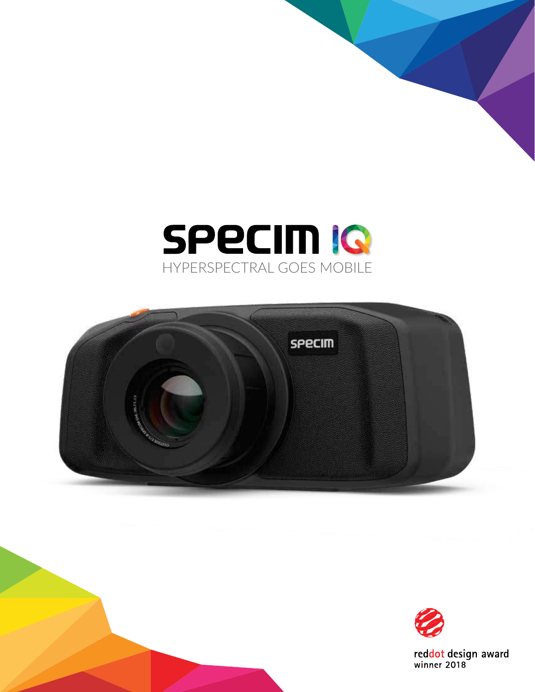### **SPECIM IG** HYPERSPECTRAL GOES MOBILE





reddot design award<br>winner 2018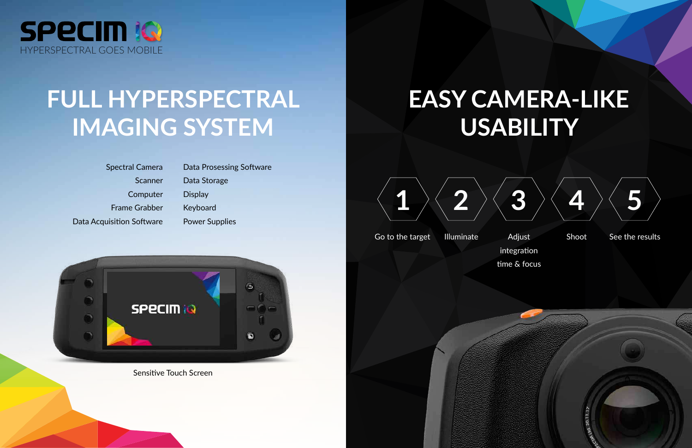

## **FULL HYPERSPECTRAL IMAGING SYSTEM**

Spectral Camera Scanner **Computer** Frame Grabber Data Acquisition Software

Data Prosessing Software Data Storage **Display** Keyboard Power Supplies



Sensitive Touch Screen



Go to the target Illuminate Adjust Shoot See the results



# **EASY CAMERA-LIKE USABILITY**





Adjust integration time & focus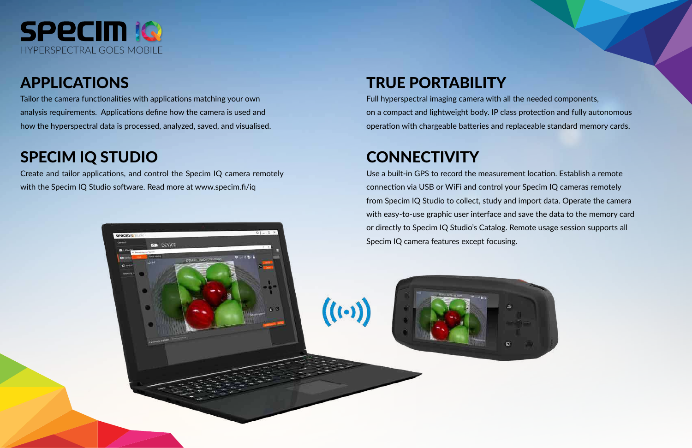### TRUE PORTABILITY

Full hyperspectral imaging camera with all the needed components, on a compact and lightweight body. IP class protection and fully autonomous operation with chargeable batteries and replaceable standard memory cards.

## **CONNECTIVITY**

 $((\cdot))$ 

Use a built-in GPS to record the measurement location. Establish a remote connection via USB or WiFi and control your Specim IQ cameras remotely from Specim IQ Studio to collect, study and import data. Operate the camera with easy-to-use graphic user interface and save the data to the memory card or directly to Specim IQ Studio's Catalog. Remote usage session supports all Specim IQ camera features except focusing.



Create and tailor applications, and control the Specim IQ camera remotely with the Specim IQ Studio software. Read more at www.specim.fi/iq

**CO** DEVICE

**SPECIMIC** 



### APPLICATIONS

Tailor the camera functionalities with applications matching your own analysis requirements. Applications define how the camera is used and how the hyperspectral data is processed, analyzed, saved, and visualised.

#### SPECIM IQ STUDIO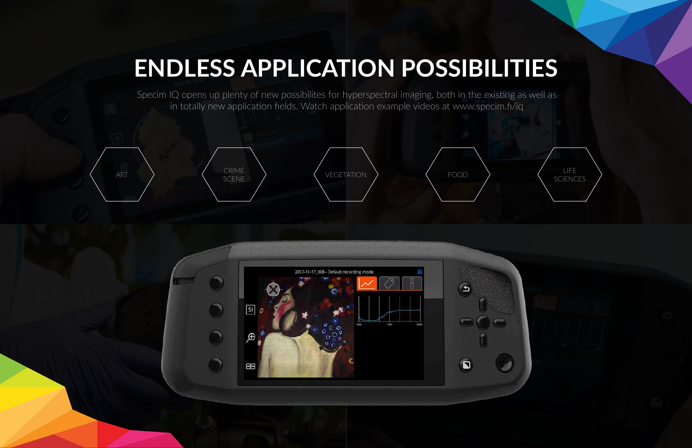# **ENDLESS APPLICATION POSSIBILITIES**









Specim IQ opens up plenty of new possibilites for hyperspectral imaging, both in the existing as well as in totally new application fields. Watch application example videos at www.specim.fi/iq